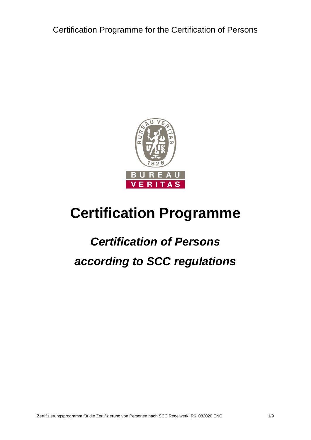

# <span id="page-0-0"></span>**Certification Programme**

# <span id="page-0-2"></span><span id="page-0-1"></span>*Certification of Persons according to SCC regulations*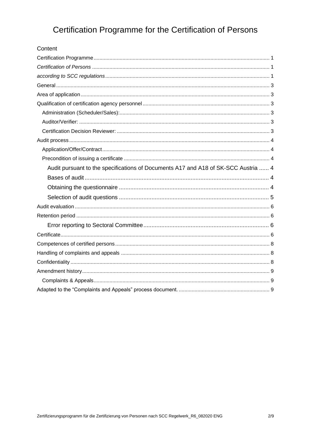| Content                                                                            |  |
|------------------------------------------------------------------------------------|--|
|                                                                                    |  |
|                                                                                    |  |
|                                                                                    |  |
|                                                                                    |  |
|                                                                                    |  |
|                                                                                    |  |
|                                                                                    |  |
|                                                                                    |  |
|                                                                                    |  |
|                                                                                    |  |
|                                                                                    |  |
|                                                                                    |  |
| Audit pursuant to the specifications of Documents A17 and A18 of SK-SCC Austria  4 |  |
|                                                                                    |  |
|                                                                                    |  |
|                                                                                    |  |
|                                                                                    |  |
|                                                                                    |  |
|                                                                                    |  |
|                                                                                    |  |
|                                                                                    |  |
|                                                                                    |  |
|                                                                                    |  |
|                                                                                    |  |
|                                                                                    |  |
|                                                                                    |  |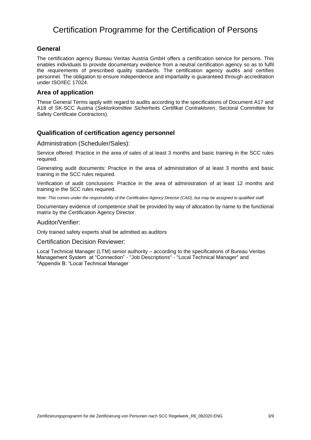#### <span id="page-2-0"></span>**General**

The certification agency Bureau Veritas Austria GmbH offers a certification service for persons. This enables individuals to provide documentary evidence from a neutral certification agency so as to fulfil the requirements of prescribed quality standards. The certification agency audits and certifies personnel. The obligation to ensure independence and impartiality is guaranteed through accreditation under ISO/IEC 17024.

#### <span id="page-2-1"></span>**Area of application**

These General Terms apply with regard to audits according to the specifications of Document A17 and A18 of SK-SCC Austria (*Sektorkomittee Sicherheits Certifikat Contraktoren*, Sectoral Committee for Safety Certificate Contractors).

#### <span id="page-2-2"></span>**Qualification of certification agency personnel**

#### <span id="page-2-3"></span>Administration (Scheduler/Sales):

Service offered: Practice in the area of sales of at least 3 months and basic training in the SCC rules required.

Generating audit documents: Practice in the area of administration of at least 3 months and basic training in the SCC rules required.

Verification of audit conclusions: Practice in the area of administration of at least 12 months and training in the SCC rules required.

*Note: This comes under the responsibility of the Certification Agency Director (CAD), but may be assigned to qualified staff.*

Documentary evidence of competence shall be provided by way of allocation by name to the functional matrix by the Certification Agency Director.

#### <span id="page-2-4"></span>Auditor/Verifier:

Only trained safety experts shall be admitted as auditors

#### <span id="page-2-5"></span>Certification Decision Reviewer:

Local Technical Manager (LTM) senior authority – according to the specifications of Bureau Veritas Management System at "Connection" - "Job Descriptions" - "Local Technical Manager" and "Appendix B: "Local Technical Manager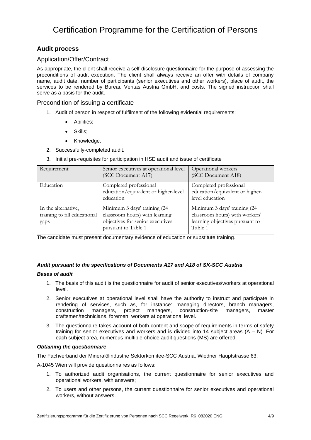#### <span id="page-3-0"></span>**Audit process**

#### <span id="page-3-1"></span>Application/Offer/Contract

As appropriate, the client shall receive a self-disclosure questionnaire for the purpose of assessing the preconditions of audit execution. The client shall always receive an offer with details of company name, audit date, number of participants (senior executives and other workers), place of audit, the services to be rendered by Bureau Veritas Austria GmbH, and costs. The signed instruction shall serve as a basis for the audit.

#### <span id="page-3-2"></span>Precondition of issuing a certificate

- 1. Audit of person in respect of fulfilment of the following evidential requirements:
	- Abilities;
	- Skills;
	- Knowledge.
- 2. Successfully-completed audit.
- 3. Initial pre-requisites for participation in HSE audit and issue of certificate

| Requirement                                                 | Senior executives at operational level<br>(SCC Document A17)                                                              | Operational workers<br>(SCC Document A18)                                                                    |
|-------------------------------------------------------------|---------------------------------------------------------------------------------------------------------------------------|--------------------------------------------------------------------------------------------------------------|
| Education                                                   | Completed professional<br>education/equivalent or higher-level<br>education                                               | Completed professional<br>education/equivalent or higher-<br>level education                                 |
| In the alternative,<br>training to fill educational<br>gaps | Minimum 3 days' training (24<br>classroom hours) with learning<br>objectives for senior executives<br>pursuant to Table 1 | Minimum 3 days' training (24<br>classroom hours) with workers'<br>learning objectives pursuant to<br>Table 1 |

The candidate must present documentary evidence of education or substitute training.

#### <span id="page-3-3"></span>*Audit pursuant to the specifications of Documents A17 and A18 of SK-SCC Austria*

#### <span id="page-3-4"></span>*Bases of audit*

- 1. The basis of this audit is the questionnaire for audit of senior executives/workers at operational level.
- 2. Senior executives at operational level shall have the authority to instruct and participate in rendering of services, such as, for instance: managing directors, branch managers, construction managers, project managers, construction-site managers, master craftsmen/technicians, foremen, workers at operational level.
- 3. The questionnaire takes account of both content and scope of requirements in terms of safety training for senior executives and workers and is divided into 14 subject areas  $(A - N)$ . For each subject area, numerous multiple-choice audit questions (MS) are offered.

#### <span id="page-3-5"></span>*Obtaining the questionnaire*

The Fachverband der Mineralölindustrie Sektorkomitee-SCC Austria, Wiedner Hauptstrasse 63,

A-1045 Wien will provide questionnaires as follows:

- 1. To authorized audit organisations, the current questionnaire for senior executives and operational workers, with answers;
- 2. To users and other persons, the current questionnaire for senior executives and operational workers, without answers.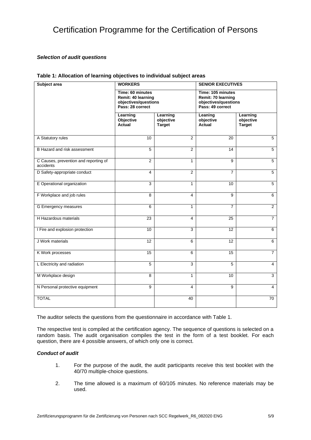#### <span id="page-4-0"></span>*Selection of audit questions*

| Subject area                                       | <b>WORKERS</b>                                                                     |                                        | <b>SENIOR EXECUTIVES</b>                                                            |                                        |
|----------------------------------------------------|------------------------------------------------------------------------------------|----------------------------------------|-------------------------------------------------------------------------------------|----------------------------------------|
|                                                    | Time: 60 minutes<br>Remit: 40 learning<br>objectives/questions<br>Pass: 28 correct |                                        | Time: 105 minutes<br>Remit: 70 learning<br>objectives/questions<br>Pass: 49 correct |                                        |
|                                                    |                                                                                    |                                        |                                                                                     |                                        |
|                                                    | Learning<br>Objective<br><b>Actual</b>                                             | Learning<br>objective<br><b>Target</b> | Leaning<br>objective<br><b>Actual</b>                                               | Learning<br>objective<br><b>Target</b> |
| A Statutory rules                                  | 10                                                                                 | $\overline{2}$                         | $\overline{20}$                                                                     | $\overline{5}$                         |
| B Hazard and risk assessment                       | 5                                                                                  | 2                                      | 14                                                                                  | 5                                      |
| C Causes, prevention and reporting of<br>accidents | $\overline{2}$                                                                     | 1                                      | 9                                                                                   | 5                                      |
| D Safety-appropriate conduct                       | $\overline{4}$                                                                     | $\overline{2}$                         | $\overline{7}$                                                                      | $\overline{5}$                         |
| E Operational organization                         | 3                                                                                  | $\mathbf{1}$                           | 10                                                                                  | 5                                      |
| F Workplace and job rules                          | 8                                                                                  | 4                                      | $\overline{9}$                                                                      | 6                                      |
| G Emergency measures                               | 6                                                                                  | $\mathbf{1}$                           | $\overline{7}$                                                                      | $\overline{2}$                         |
| H Hazardous materials                              | 23                                                                                 | 4                                      | 25                                                                                  | $\overline{7}$                         |
| I Fire and explosion protection                    | 10                                                                                 | 3                                      | 12                                                                                  | 6                                      |
| J Work materials                                   | $\overline{12}$                                                                    | 6                                      | $\overline{12}$                                                                     | 6                                      |
| K Work processes                                   | 15                                                                                 | 6                                      | 15                                                                                  | $\overline{7}$                         |
| L Electricity and radiation                        | 5                                                                                  | 3                                      | 5                                                                                   | 4                                      |
| M Workplace design                                 | 8                                                                                  | $\mathbf{1}$                           | 10                                                                                  | 3                                      |
| N Personal protective equipment                    | 9                                                                                  | 4                                      | 9                                                                                   | 4                                      |
| <b>TOTAL</b>                                       |                                                                                    | 40                                     |                                                                                     | $\overline{70}$                        |

#### **Table 1: Allocation of learning objectives to individual subject areas**

The auditor selects the questions from the questionnaire in accordance with Table 1.

The respective test is compiled at the certification agency. The sequence of questions is selected on a random basis. The audit organisation compiles the test in the form of a test booklet. For each question, there are 4 possible answers, of which only one is correct.

#### *Conduct of audit*

- 1. For the purpose of the audit, the audit participants receive this test booklet with the 40/70 multiple-choice questions.
- 2. The time allowed is a maximum of 60/105 minutes. No reference materials may be used.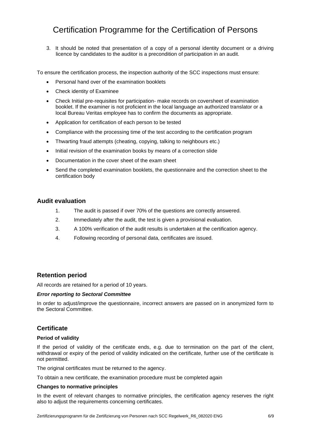3. It should be noted that presentation of a copy of a personal identity document or a driving licence by candidates to the auditor is a precondition of participation in an audit.

To ensure the certification process, the inspection authority of the SCC inspections must ensure:

- Personal hand over of the examination booklets
- Check identity of Examinee
- Check Initial pre-requisites for participation- make records on coversheet of examination booklet. If the examiner is not proficient in the local language an authorized translator or a local Bureau Veritas employee has to confirm the documents as appropriate.
- Application for certification of each person to be tested
- Compliance with the processing time of the test according to the certification program
- Thwarting fraud attempts (cheating, copying, talking to neighbours etc.)
- Initial revision of the examination books by means of a correction slide
- Documentation in the cover sheet of the exam sheet
- Send the completed examination booklets, the questionnaire and the correction sheet to the certification body

#### <span id="page-5-0"></span>**Audit evaluation**

- 1. The audit is passed if over 70% of the questions are correctly answered.
- 2. Immediately after the audit, the test is given a provisional evaluation.
- 3. A 100% verification of the audit results is undertaken at the certification agency.
- 4. Following recording of personal data, certificates are issued.

#### <span id="page-5-1"></span>**Retention period**

All records are retained for a period of 10 years.

#### <span id="page-5-2"></span>*Error reporting to Sectoral Committee*

In order to adjust/improve the questionnaire, incorrect answers are passed on in anonymized form to the Sectoral Committee.

#### <span id="page-5-3"></span>**Certificate**

#### **Period of validity**

If the period of validity of the certificate ends, e.g. due to termination on the part of the client, withdrawal or expiry of the period of validity indicated on the certificate, further use of the certificate is not permitted.

The original certificates must be returned to the agency.

To obtain a new certificate, the examination procedure must be completed again

#### **Changes to normative principles**

In the event of relevant changes to normative principles, the certification agency reserves the right also to adjust the requirements concerning certificates.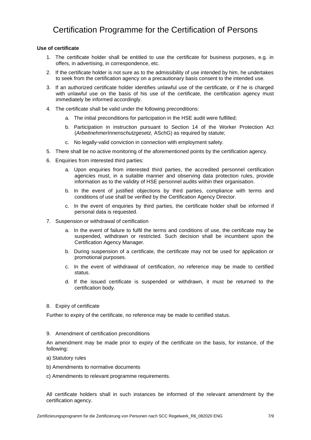#### **Use of certificate**

- 1. The certificate holder shall be entitled to use the certificate for business purposes, e.g. in offers, in advertising, in correspondence, etc.
- 2. If the certificate holder is not sure as to the admissibility of use intended by him, he undertakes to seek from the certification agency on a precautionary basis consent to the intended use.
- 3. If an authorized certificate holder identifies unlawful use of the certificate, or if he is charged with unlawful use on the basis of his use of the certificate, the certification agency must immediately be informed accordingly.
- 4. The certificate shall be valid under the following preconditions:
	- a. The initial preconditions for participation in the HSE audit were fulfilled;
	- b. Participation in instruction pursuant to Section 14 of the Worker Protection Act (*ArbeitnehmerInnenschutzgesetz,* ASchG) as required by statute;
	- c. No legally-valid conviction in connection with employment safety.
- 5. There shall be no active monitoring of the aforementioned points by the certification agency.
- 6. Enquiries from interested third parties:
	- a. Upon enquiries from interested third parties, the accredited personnel certification agencies must, in a suitable manner and observing data protection rules, provide information as to the validity of HSE personnel audits within their organisation.
	- b. In the event of justified objections by third parties, compliance with terms and conditions of use shall be verified by the Certification Agency Director.
	- c. In the event of enquiries by third parties, the certificate holder shall be informed if personal data is requested.
- 7. Suspension or withdrawal of certification
	- a. In the event of failure to fulfil the terms and conditions of use, the certificate may be suspended, withdrawn or restricted. Such decision shall be incumbent upon the Certification Agency Manager.
	- b. During suspension of a certificate, the certificate may not be used for application or promotional purposes.
	- c. In the event of withdrawal of certification, no reference may be made to certified status.
	- d. If the issued certificate is suspended or withdrawn, it must be returned to the certification body.
- 8. Expiry of certificate

Further to expiry of the certificate, no reference may be made to certified status.

9. Amendment of certification preconditions

An amendment may be made prior to expiry of the certificate on the basis, for instance, of the following:

- a) Statutory rules
- b) Amendments to normative documents
- c) Amendments to relevant programme requirements.

All certificate holders shall in such instances be informed of the relevant amendment by the certification agency.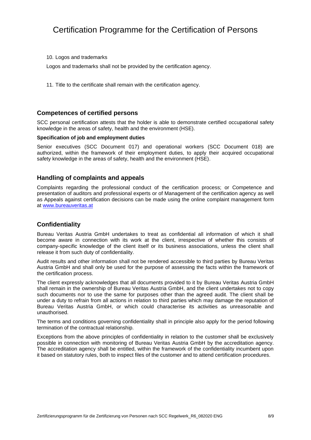10. Logos and trademarks

Logos and trademarks shall not be provided by the certification agency.

11. Title to the certificate shall remain with the certification agency.

#### <span id="page-7-0"></span>**Competences of certified persons**

SCC personal certification attests that the holder is able to demonstrate certified occupational safety knowledge in the areas of safety, health and the environment (HSE).

#### **Specification of job and employment duties**

Senior executives (SCC Document 017) and operational workers (SCC Document 018) are authorized, within the framework of their employment duties, to apply their acquired occupational safety knowledge in the areas of safety, health and the environment (HSE).

#### <span id="page-7-1"></span>**Handling of complaints and appeals**

Complaints regarding the professional conduct of the certification process; or Competence and presentation of auditors and professional experts or of Management of the certification agency as well as Appeals against certification decisions can be made using the online complaint management form at [www.bureauveritas.at](http://www.bureauveritas.at/)

#### <span id="page-7-2"></span>**Confidentiality**

Bureau Veritas Austria GmbH undertakes to treat as confidential all information of which it shall become aware in connection with its work at the client, irrespective of whether this consists of company-specific knowledge of the client itself or its business associations, unless the client shall release it from such duty of confidentiality.

Audit results and other information shall not be rendered accessible to third parties by Bureau Veritas Austria GmbH and shall only be used for the purpose of assessing the facts within the framework of the certification process.

The client expressly acknowledges that all documents provided to it by Bureau Veritas Austria GmbH shall remain in the ownership of Bureau Veritas Austria GmbH, and the client undertakes not to copy such documents nor to use the same for purposes other than the agreed audit. The client shall be under a duty to refrain from all actions in relation to third parties which may damage the reputation of Bureau Veritas Austria GmbH, or which could characterise its activities as unreasonable and unauthorised.

The terms and conditions governing confidentiality shall in principle also apply for the period following termination of the contractual relationship.

Exceptions from the above principles of confidentiality in relation to the customer shall be exclusively possible in connection with monitoring of Bureau Veritas Austria GmbH by the accreditation agency. The accreditation agency shall be entitled, within the framework of the confidentiality incumbent upon it based on statutory rules, both to inspect files of the customer and to attend certification procedures.